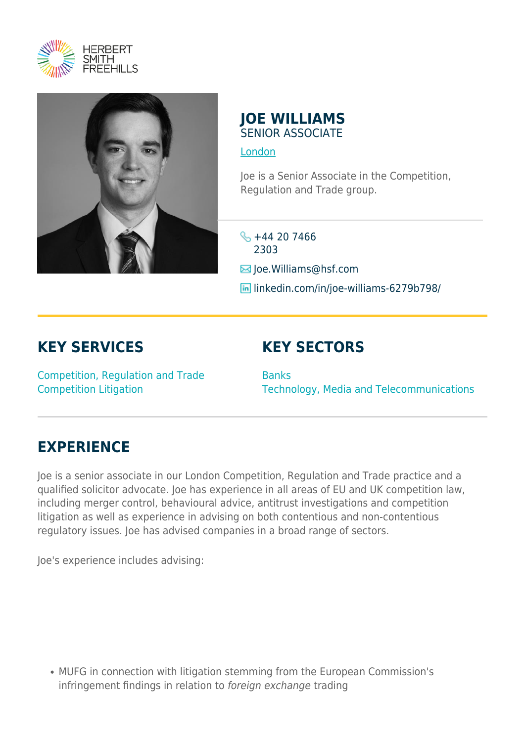



#### **JOE WILLIAMS** SENIOR ASSOCIATE

#### [London](https://www.herbertsmithfreehills.com/lang-fr/where-we-work/london)

Joe is a Senior Associate in the Competition, Regulation and Trade group.

 $\frac{1}{5}$  +44 20 7466 2303

 $\blacksquare$  Joe. Williams@hsf.com

**in** linkedin.com/in/joe-williams-6279b798/

## **KEY SERVICES**

# **KEY SECTORS**

Competition, Regulation and Trade Competition Litigation

**Banks** Technology, Media and Telecommunications

## **EXPERIENCE**

Joe is a senior associate in our London Competition, Regulation and Trade practice and a qualified solicitor advocate. Joe has experience in all areas of EU and UK competition law, including merger control, behavioural advice, antitrust investigations and competition litigation as well as experience in advising on both contentious and non-contentious regulatory issues. Joe has advised companies in a broad range of sectors.

Joe's experience includes advising:

MUFG in connection with litigation stemming from the European Commission's infringement findings in relation to foreign exchange trading